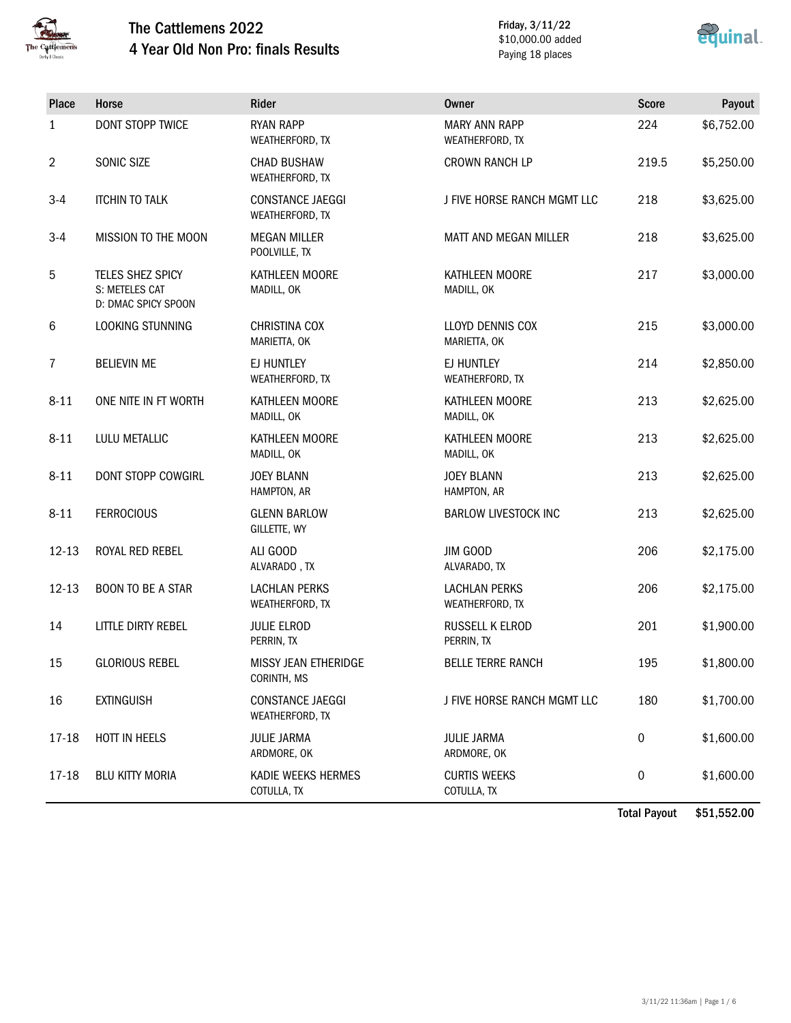

## The Cattlemens 2022 4 Year Old Non Pro: finals Results

Friday, 3/11/22 \$10,000.00 added Paying 18 places



| <b>Place</b>   | Horse                                                            | Rider                                      | <b>Owner</b>                            | <b>Score</b> | Payout     |
|----------------|------------------------------------------------------------------|--------------------------------------------|-----------------------------------------|--------------|------------|
| 1              | DONT STOPP TWICE                                                 | <b>RYAN RAPP</b><br>WEATHERFORD, TX        | <b>MARY ANN RAPP</b><br>WEATHERFORD, TX | 224          | \$6,752.00 |
| $\overline{2}$ | SONIC SIZE                                                       | <b>CHAD BUSHAW</b><br>WEATHERFORD, TX      | <b>CROWN RANCH LP</b>                   | 219.5        | \$5,250.00 |
| $3 - 4$        | <b>ITCHIN TO TALK</b>                                            | <b>CONSTANCE JAEGGI</b><br>WEATHERFORD, TX | J FIVE HORSE RANCH MGMT LLC             | 218          | \$3,625.00 |
| $3-4$          | MISSION TO THE MOON                                              | <b>MEGAN MILLER</b><br>POOLVILLE, TX       | MATT AND MEGAN MILLER                   | 218          | \$3,625.00 |
| 5              | <b>TELES SHEZ SPICY</b><br>S: METELES CAT<br>D: DMAC SPICY SPOON | KATHLEEN MOORE<br>MADILL, OK               | KATHLEEN MOORE<br>MADILL, OK            | 217          | \$3,000.00 |
| 6              | LOOKING STUNNING                                                 | <b>CHRISTINA COX</b><br>MARIETTA, OK       | LLOYD DENNIS COX<br>MARIETTA, OK        | 215          | \$3,000.00 |
| $\overline{7}$ | <b>BELIEVIN ME</b>                                               | EJ HUNTLEY<br>WEATHERFORD, TX              | EJ HUNTLEY<br>WEATHERFORD, TX           | 214          | \$2,850.00 |
| $8 - 11$       | ONE NITE IN FT WORTH                                             | KATHLEEN MOORE<br>MADILL, OK               | KATHLEEN MOORE<br>MADILL, OK            | 213          | \$2,625.00 |
| $8 - 11$       | LULU METALLIC                                                    | KATHLEEN MOORE<br>MADILL, OK               | KATHLEEN MOORE<br>MADILL, OK            | 213          | \$2,625.00 |
| $8 - 11$       | DONT STOPP COWGIRL                                               | <b>JOEY BLANN</b><br>HAMPTON, AR           | <b>JOEY BLANN</b><br>HAMPTON, AR        | 213          | \$2,625.00 |
| $8 - 11$       | <b>FERROCIOUS</b>                                                | <b>GLENN BARLOW</b><br>GILLETTE, WY        | <b>BARLOW LIVESTOCK INC</b>             | 213          | \$2,625.00 |
| $12 - 13$      | ROYAL RED REBEL                                                  | ALI GOOD<br>ALVARADO, TX                   | JIM GOOD<br>ALVARADO, TX                | 206          | \$2,175.00 |
| $12 - 13$      | <b>BOON TO BE A STAR</b>                                         | <b>LACHLAN PERKS</b><br>WEATHERFORD, TX    | <b>LACHLAN PERKS</b><br>WEATHERFORD, TX | 206          | \$2,175.00 |
| 14             | LITTLE DIRTY REBEL                                               | <b>JULIE ELROD</b><br>PERRIN, TX           | RUSSELL K ELROD<br>PERRIN, TX           | 201          | \$1,900.00 |
| 15             | <b>GLORIOUS REBEL</b>                                            | MISSY JEAN ETHERIDGE<br>CORINTH, MS        | <b>BELLE TERRE RANCH</b>                | 195          | \$1,800.00 |
| 16             | <b>EXTINGUISH</b>                                                | CONSTANCE JAEGGI<br>WEATHERFORD, TX        | J FIVE HORSE RANCH MGMT LLC             | 180          | \$1,700.00 |
| 17-18          | HOTT IN HEELS                                                    | <b>JULIE JARMA</b><br>ARDMORE, OK          | <b>JULIE JARMA</b><br>ARDMORE, OK       | 0            | \$1,600.00 |
| 17-18          | <b>BLU KITTY MORIA</b>                                           | KADIE WEEKS HERMES<br>COTULLA, TX          | <b>CURTIS WEEKS</b><br>COTULLA, TX      | 0            | \$1,600.00 |

Total Payout \$51,552.00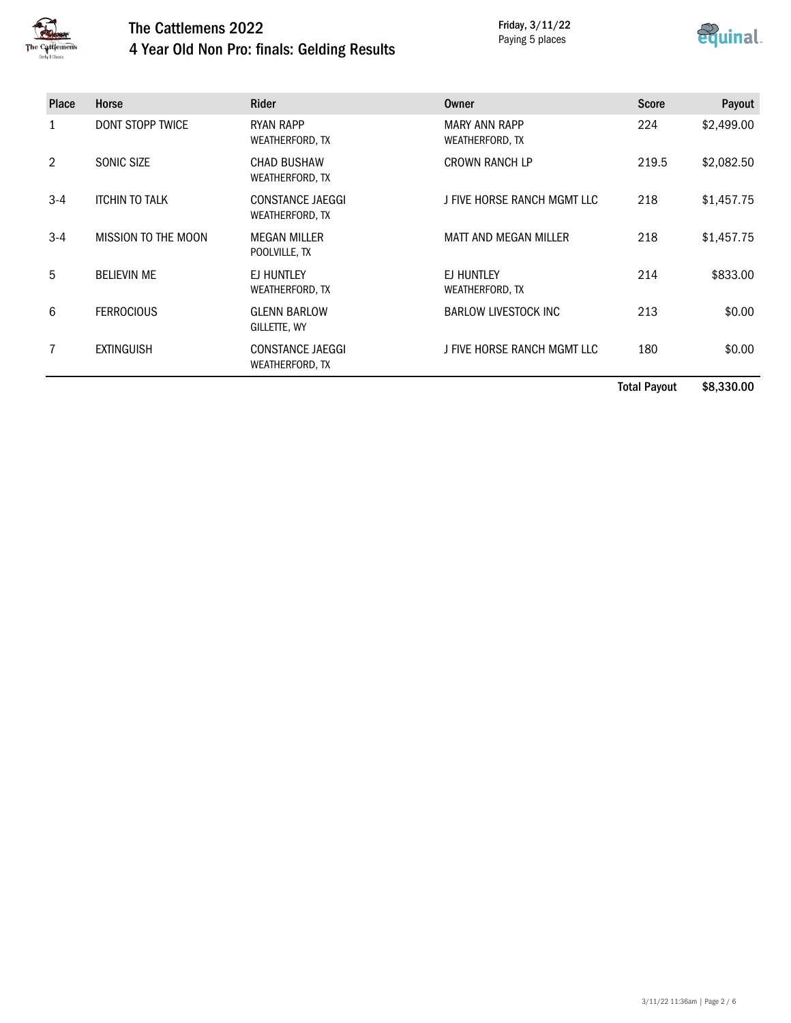

## The Cattlemens 2022 4 Year Old Non Pro: finals: Gelding Results

Friday, 3/11/22 Paying 5 places



| <b>Place</b>   | Horse                   | <b>Rider</b>                               | Owner                                   | <b>Score</b> | Payout     |
|----------------|-------------------------|--------------------------------------------|-----------------------------------------|--------------|------------|
| 1              | <b>DONT STOPP TWICE</b> | <b>RYAN RAPP</b><br>WEATHERFORD, TX        | <b>MARY ANN RAPP</b><br>WEATHERFORD, TX | 224          | \$2,499.00 |
| $\overline{2}$ | SONIC SIZE              | <b>CHAD BUSHAW</b><br>WEATHERFORD, TX      | CROWN RANCH LP                          | 219.5        | \$2,082.50 |
| $3-4$          | <b>ITCHIN TO TALK</b>   | CONSTANCE JAEGGI<br>WEATHERFORD, TX        | J FIVE HORSE RANCH MGMT LLC             | 218          | \$1,457.75 |
| $3-4$          | MISSION TO THE MOON     | MEGAN MILLER<br>POOLVILLE, TX              | MATT AND MEGAN MILLER                   | 218          | \$1,457.75 |
| 5              | <b>BELIEVIN ME</b>      | EJ HUNTLEY<br>WEATHERFORD, TX              | EJ HUNTLEY<br>WEATHERFORD, TX           | 214          | \$833.00   |
| 6              | <b>FERROCIOUS</b>       | <b>GLENN BARLOW</b><br>GILLETTE, WY        | <b>BARLOW LIVESTOCK INC</b>             | 213          | \$0.00     |
| 7              | <b>EXTINGUISH</b>       | <b>CONSTANCE JAEGGI</b><br>WEATHERFORD, TX | J FIVE HORSE RANCH MGMT LLC             | 180          | \$0.00     |
|                |                         |                                            |                                         |              |            |

Total Payout \$8,330.00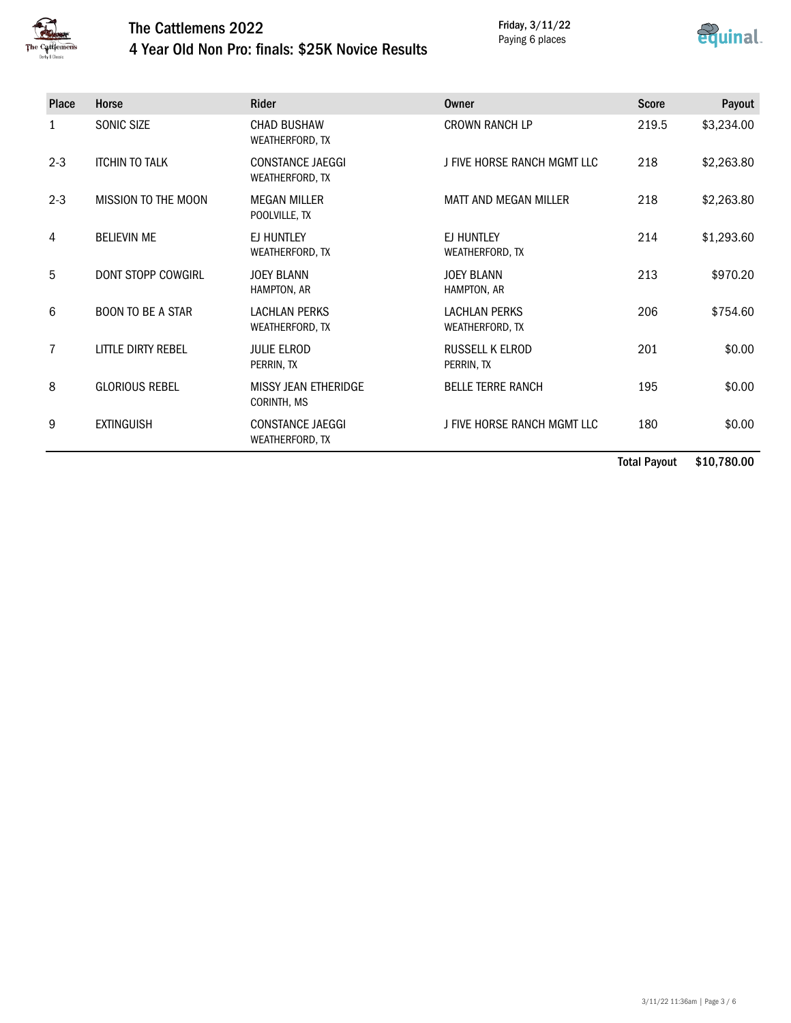

### The Cattlemens 2022 4 Year Old Non Pro: finals: \$25K Novice Results

Friday, 3/11/22 Paying 6 places



| <b>Place</b> | <b>Horse</b>             | <b>Rider</b>                               | Owner                                   | <b>Score</b> | Payout     |
|--------------|--------------------------|--------------------------------------------|-----------------------------------------|--------------|------------|
| 1            | SONIC SIZE               | <b>CHAD BUSHAW</b><br>WEATHERFORD, TX      | <b>CROWN RANCH LP</b>                   | 219.5        | \$3,234.00 |
| $2 - 3$      | <b>ITCHIN TO TALK</b>    | <b>CONSTANCE JAEGGI</b><br>WEATHERFORD, TX | J FIVE HORSE RANCH MGMT LLC             | 218          | \$2,263.80 |
| $2 - 3$      | MISSION TO THE MOON      | <b>MEGAN MILLER</b><br>POOLVILLE, TX       | MATT AND MEGAN MILLER                   | 218          | \$2,263.80 |
| 4            | <b>BELIEVIN ME</b>       | EJ HUNTLEY<br>WEATHERFORD, TX              | EJ HUNTLEY<br>WEATHERFORD, TX           | 214          | \$1,293.60 |
| 5            | DONT STOPP COWGIRL       | <b>JOEY BLANN</b><br>HAMPTON, AR           | <b>JOEY BLANN</b><br>HAMPTON, AR        | 213          | \$970.20   |
| 6            | <b>BOON TO BE A STAR</b> | <b>LACHLAN PERKS</b><br>WEATHERFORD, TX    | <b>LACHLAN PERKS</b><br>WEATHERFORD, TX | 206          | \$754.60   |
| 7            | LITTLE DIRTY REBEL       | <b>JULIE ELROD</b><br>PERRIN, TX           | <b>RUSSELL K ELROD</b><br>PERRIN, TX    | 201          | \$0.00     |
| 8            | <b>GLORIOUS REBEL</b>    | <b>MISSY JEAN ETHERIDGE</b><br>CORINTH, MS | <b>BELLE TERRE RANCH</b>                | 195          | \$0.00     |
| 9            | <b>EXTINGUISH</b>        | CONSTANCE JAEGGI<br>WEATHERFORD, TX        | J FIVE HORSE RANCH MGMT LLC             | 180          | \$0.00     |

Total Payout \$10,780.00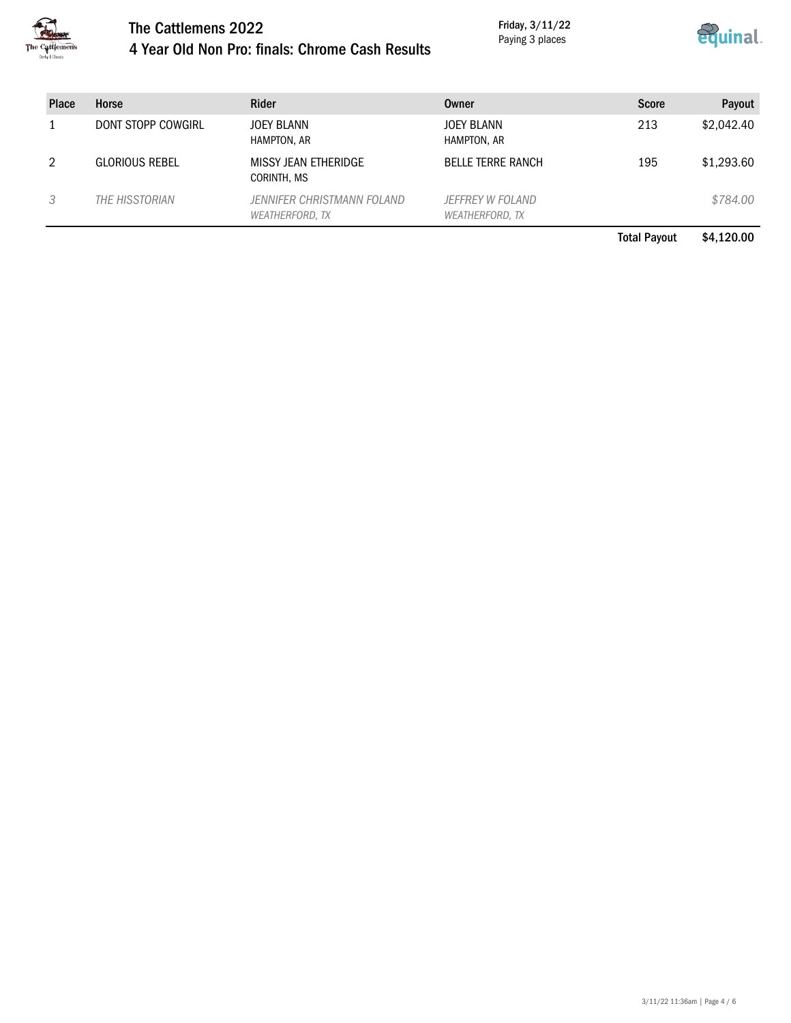

### The Cattlemens 2022 4 Year Old Non Pro: finals: Chrome Cash Results

Friday, 3/11/22 Paying 3 places



| <b>Place</b> | Horse                 | <b>Rider</b>                                         | Owner                               | <b>Score</b> | Payout     |
|--------------|-----------------------|------------------------------------------------------|-------------------------------------|--------------|------------|
|              | DONT STOPP COWGIRL    | JOEY BLANN<br>HAMPTON, AR                            | <b>JOEY BLANN</b><br>HAMPTON, AR    | 213          | \$2,042.40 |
|              | <b>GLORIOUS REBEL</b> | MISSY JEAN ETHERIDGE<br>CORINTH, MS                  | <b>BELLE TERRE RANCH</b>            | 195          | \$1,293.60 |
|              | THE HISSTORIAN        | JENNIFER CHRISTMANN FOLAND<br><b>WEATHERFORD, TX</b> | JEFFREY W FOLAND<br>WEATHERFORD, TX |              | \$784.00   |

Total Payout \$4,120.00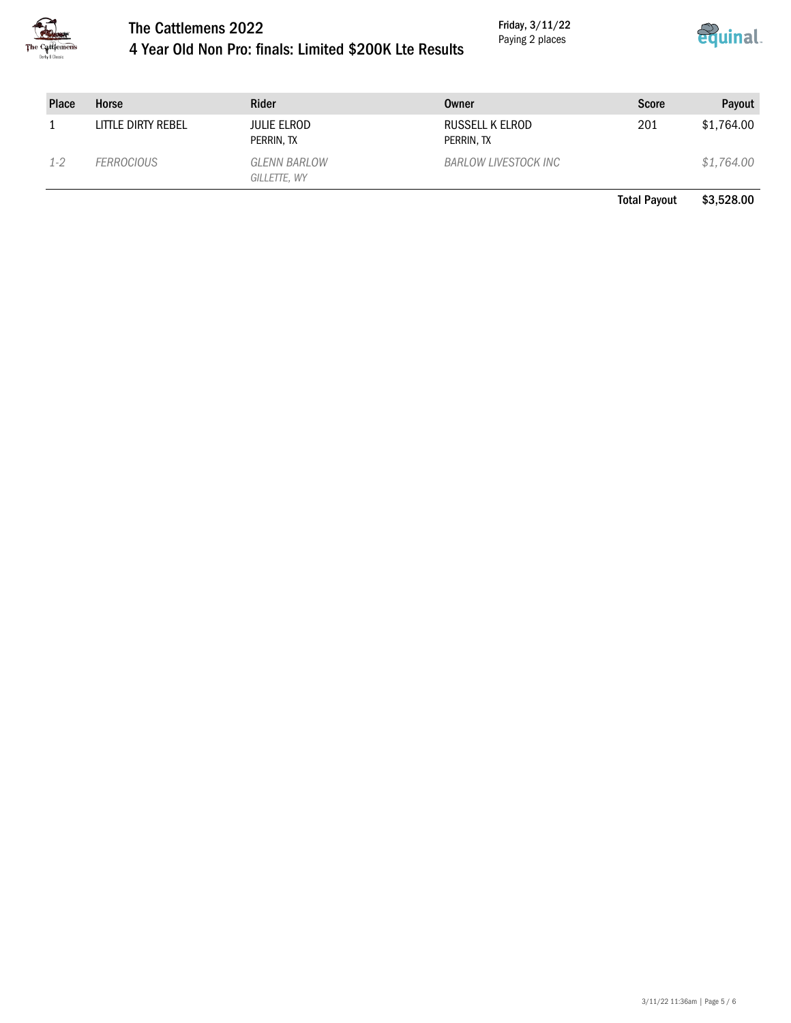

# The Cattlemens 2022

Friday, 3/11/22 Paying 2 places



4 Year Old Non Pro: finals: Limited \$200K Lte Results

| <b>Place</b> | Horse                    | Rider                               | <b>Owner</b>                  | <b>Score</b> | Payout     |
|--------------|--------------------------|-------------------------------------|-------------------------------|--------------|------------|
|              | LITTLE DIRTY REBEL       | JULIE ELROD<br>PERRIN, TX           | RUSSELL K ELROD<br>PERRIN, TX | 201          | \$1,764.00 |
| $1 - 2$      | <i><b>FERROCIOUS</b></i> | <b>GLENN BARLOW</b><br>GILLETTE, WY | BARLOW LIVESTOCK INC          |              | \$1,764.00 |

Total Payout \$3,528.00